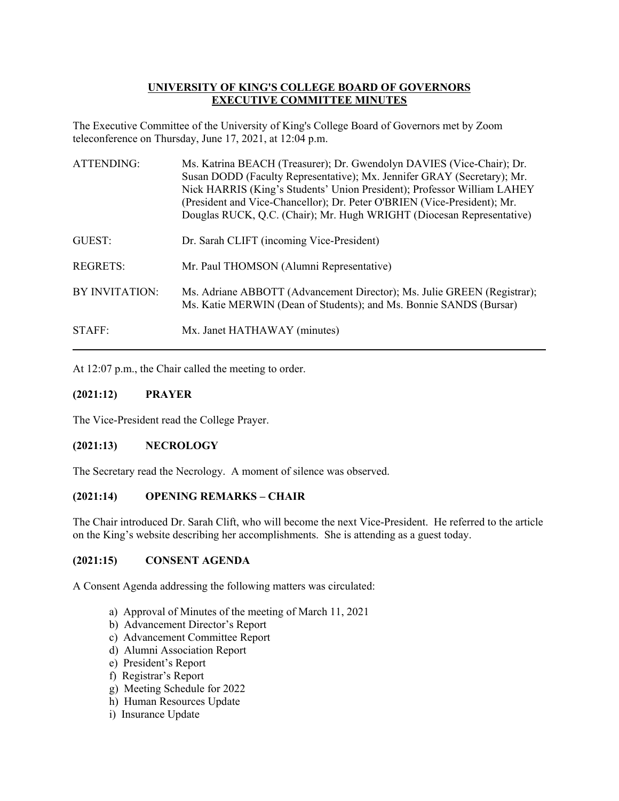# **UNIVERSITY OF KING'S COLLEGE BOARD OF GOVERNORS EXECUTIVE COMMITTEE MINUTES**

The Executive Committee of the University of King's College Board of Governors met by Zoom teleconference on Thursday, June 17, 2021, at 12:04 p.m.

| <b>ATTENDING:</b> | Ms. Katrina BEACH (Treasurer); Dr. Gwendolyn DAVIES (Vice-Chair); Dr.<br>Susan DODD (Faculty Representative); Mx. Jennifer GRAY (Secretary); Mr.<br>Nick HARRIS (King's Students' Union President); Professor William LAHEY<br>(President and Vice-Chancellor); Dr. Peter O'BRIEN (Vice-President); Mr.<br>Douglas RUCK, Q.C. (Chair); Mr. Hugh WRIGHT (Diocesan Representative) |
|-------------------|----------------------------------------------------------------------------------------------------------------------------------------------------------------------------------------------------------------------------------------------------------------------------------------------------------------------------------------------------------------------------------|
| GUEST:            | Dr. Sarah CLIFT (incoming Vice-President)                                                                                                                                                                                                                                                                                                                                        |
| <b>REGRETS:</b>   | Mr. Paul THOMSON (Alumni Representative)                                                                                                                                                                                                                                                                                                                                         |
| BY INVITATION:    | Ms. Adriane ABBOTT (Advancement Director); Ms. Julie GREEN (Registrar);<br>Ms. Katie MERWIN (Dean of Students); and Ms. Bonnie SANDS (Bursar)                                                                                                                                                                                                                                    |
| STAFF:            | Mx. Janet HATHAWAY (minutes)                                                                                                                                                                                                                                                                                                                                                     |

At 12:07 p.m., the Chair called the meeting to order.

# **(2021:12) PRAYER**

The Vice-President read the College Prayer.

## **(2021:13) NECROLOGY**

The Secretary read the Necrology. A moment of silence was observed.

## **(2021:14) OPENING REMARKS – CHAIR**

The Chair introduced Dr. Sarah Clift, who will become the next Vice-President. He referred to the article on the King's website describing her accomplishments. She is attending as a guest today.

## **(2021:15) CONSENT AGENDA**

A Consent Agenda addressing the following matters was circulated:

- a) Approval of Minutes of the meeting of March 11, 2021
- b) Advancement Director's Report
- c) Advancement Committee Report
- d) Alumni Association Report
- e) President's Report
- f) Registrar's Report
- g) Meeting Schedule for 2022
- h) Human Resources Update
- i) Insurance Update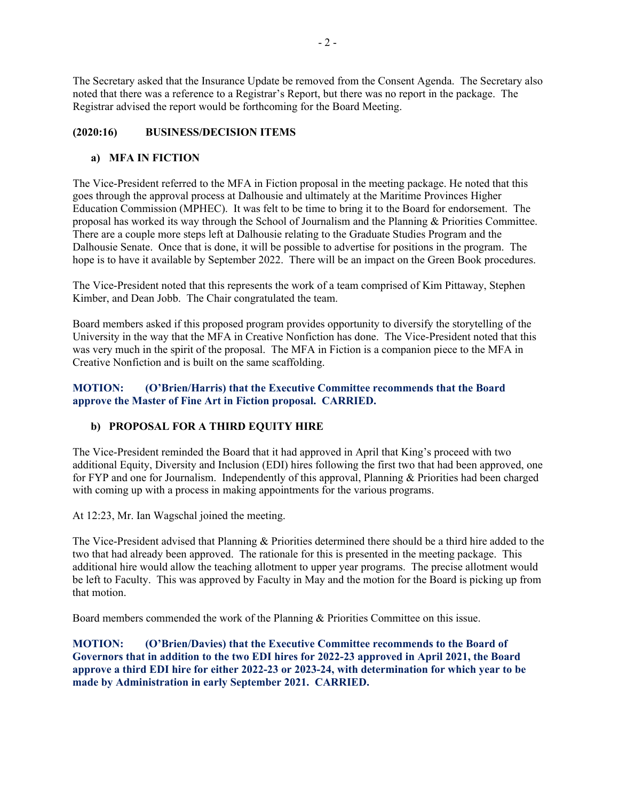The Secretary asked that the Insurance Update be removed from the Consent Agenda. The Secretary also noted that there was a reference to a Registrar's Report, but there was no report in the package. The Registrar advised the report would be forthcoming for the Board Meeting.

# **(2020:16) BUSINESS/DECISION ITEMS**

# **a) MFA IN FICTION**

The Vice-President referred to the MFA in Fiction proposal in the meeting package. He noted that this goes through the approval process at Dalhousie and ultimately at the Maritime Provinces Higher Education Commission (MPHEC). It was felt to be time to bring it to the Board for endorsement. The proposal has worked its way through the School of Journalism and the Planning & Priorities Committee. There are a couple more steps left at Dalhousie relating to the Graduate Studies Program and the Dalhousie Senate. Once that is done, it will be possible to advertise for positions in the program. The hope is to have it available by September 2022. There will be an impact on the Green Book procedures.

The Vice-President noted that this represents the work of a team comprised of Kim Pittaway, Stephen Kimber, and Dean Jobb. The Chair congratulated the team.

Board members asked if this proposed program provides opportunity to diversify the storytelling of the University in the way that the MFA in Creative Nonfiction has done. The Vice-President noted that this was very much in the spirit of the proposal. The MFA in Fiction is a companion piece to the MFA in Creative Nonfiction and is built on the same scaffolding.

# **MOTION: (O'Brien/Harris) that the Executive Committee recommends that the Board approve the Master of Fine Art in Fiction proposal. CARRIED.**

# **b) PROPOSAL FOR A THIRD EQUITY HIRE**

The Vice-President reminded the Board that it had approved in April that King's proceed with two additional Equity, Diversity and Inclusion (EDI) hires following the first two that had been approved, one for FYP and one for Journalism. Independently of this approval, Planning & Priorities had been charged with coming up with a process in making appointments for the various programs.

At 12:23, Mr. Ian Wagschal joined the meeting.

The Vice-President advised that Planning & Priorities determined there should be a third hire added to the two that had already been approved. The rationale for this is presented in the meeting package. This additional hire would allow the teaching allotment to upper year programs. The precise allotment would be left to Faculty. This was approved by Faculty in May and the motion for the Board is picking up from that motion.

Board members commended the work of the Planning & Priorities Committee on this issue.

**MOTION: (O'Brien/Davies) that the Executive Committee recommends to the Board of Governors that in addition to the two EDI hires for 2022-23 approved in April 2021, the Board approve a third EDI hire for either 2022-23 or 2023-24, with determination for which year to be made by Administration in early September 2021. CARRIED.**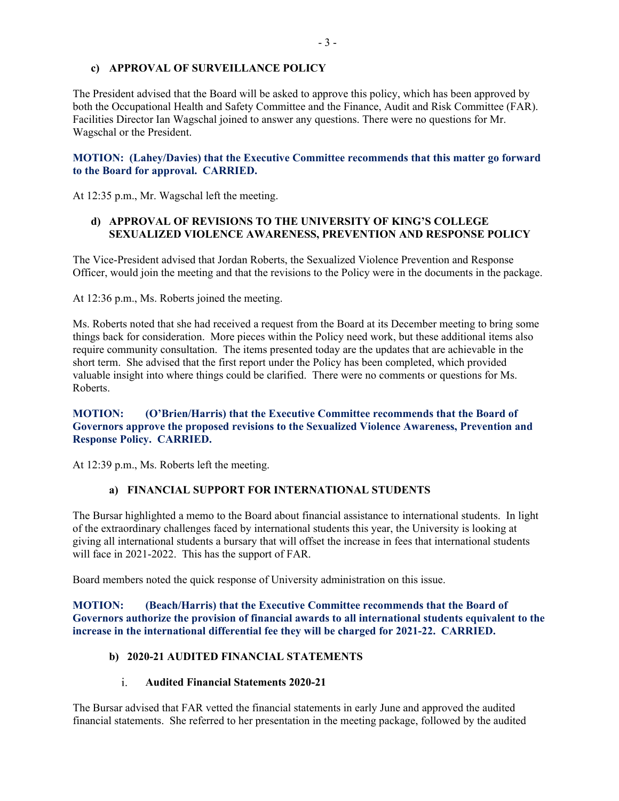## **c) APPROVAL OF SURVEILLANCE POLICY**

The President advised that the Board will be asked to approve this policy, which has been approved by both the Occupational Health and Safety Committee and the Finance, Audit and Risk Committee (FAR). Facilities Director Ian Wagschal joined to answer any questions. There were no questions for Mr. Wagschal or the President.

## **MOTION: (Lahey/Davies) that the Executive Committee recommends that this matter go forward to the Board for approval. CARRIED.**

At 12:35 p.m., Mr. Wagschal left the meeting.

## **d) APPROVAL OF REVISIONS TO THE UNIVERSITY OF KING'S COLLEGE SEXUALIZED VIOLENCE AWARENESS, PREVENTION AND RESPONSE POLICY**

The Vice-President advised that Jordan Roberts, the Sexualized Violence Prevention and Response Officer, would join the meeting and that the revisions to the Policy were in the documents in the package.

At 12:36 p.m., Ms. Roberts joined the meeting.

Ms. Roberts noted that she had received a request from the Board at its December meeting to bring some things back for consideration. More pieces within the Policy need work, but these additional items also require community consultation. The items presented today are the updates that are achievable in the short term. She advised that the first report under the Policy has been completed, which provided valuable insight into where things could be clarified. There were no comments or questions for Ms. Roberts.

## **MOTION: (O'Brien/Harris) that the Executive Committee recommends that the Board of Governors approve the proposed revisions to the Sexualized Violence Awareness, Prevention and Response Policy. CARRIED.**

At 12:39 p.m., Ms. Roberts left the meeting.

## **a) FINANCIAL SUPPORT FOR INTERNATIONAL STUDENTS**

The Bursar highlighted a memo to the Board about financial assistance to international students. In light of the extraordinary challenges faced by international students this year, the University is looking at giving all international students a bursary that will offset the increase in fees that international students will face in 2021-2022. This has the support of FAR.

Board members noted the quick response of University administration on this issue.

**MOTION: (Beach/Harris) that the Executive Committee recommends that the Board of Governors authorize the provision of financial awards to all international students equivalent to the increase in the international differential fee they will be charged for 2021-22. CARRIED.**

## **b) 2020-21 AUDITED FINANCIAL STATEMENTS**

#### $\mathbf{i}$ . **Audited Financial Statements 2020-21**

The Bursar advised that FAR vetted the financial statements in early June and approved the audited financial statements. She referred to her presentation in the meeting package, followed by the audited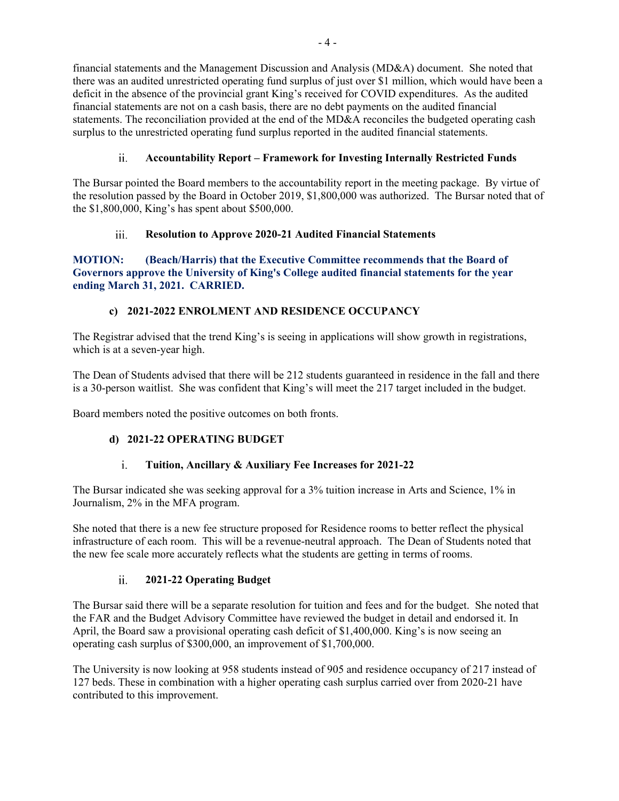financial statements and the Management Discussion and Analysis (MD&A) document. She noted that there was an audited unrestricted operating fund surplus of just over \$1 million, which would have been a deficit in the absence of the provincial grant King's received for COVID expenditures. As the audited financial statements are not on a cash basis, there are no debt payments on the audited financial statements. The reconciliation provided at the end of the MD&A reconciles the budgeted operating cash surplus to the unrestricted operating fund surplus reported in the audited financial statements.

### $ii.$ **Accountability Report – Framework for Investing Internally Restricted Funds**

The Bursar pointed the Board members to the accountability report in the meeting package. By virtue of the resolution passed by the Board in October 2019, \$1,800,000 was authorized. The Bursar noted that of the \$1,800,000, King's has spent about \$500,000.

### iii. **Resolution to Approve 2020-21 Audited Financial Statements**

**MOTION: (Beach/Harris) that the Executive Committee recommends that the Board of Governors approve the University of King's College audited financial statements for the year ending March 31, 2021. CARRIED.**

# **c) 2021-2022 ENROLMENT AND RESIDENCE OCCUPANCY**

The Registrar advised that the trend King's is seeing in applications will show growth in registrations, which is at a seven-year high.

The Dean of Students advised that there will be 212 students guaranteed in residence in the fall and there is a 30-person waitlist. She was confident that King's will meet the 217 target included in the budget.

Board members noted the positive outcomes on both fronts.

# **d) 2021-22 OPERATING BUDGET**

### **Tuition, Ancillary & Auxiliary Fee Increases for 2021-22**  $\mathbf{i}$ .

The Bursar indicated she was seeking approval for a 3% tuition increase in Arts and Science, 1% in Journalism, 2% in the MFA program.

She noted that there is a new fee structure proposed for Residence rooms to better reflect the physical infrastructure of each room. This will be a revenue-neutral approach. The Dean of Students noted that the new fee scale more accurately reflects what the students are getting in terms of rooms.

### $ii.$ **2021-22 Operating Budget**

The Bursar said there will be a separate resolution for tuition and fees and for the budget. She noted that the FAR and the Budget Advisory Committee have reviewed the budget in detail and endorsed it. In April, the Board saw a provisional operating cash deficit of \$1,400,000. King's is now seeing an operating cash surplus of \$300,000, an improvement of \$1,700,000.

The University is now looking at 958 students instead of 905 and residence occupancy of 217 instead of 127 beds. These in combination with a higher operating cash surplus carried over from 2020-21 have contributed to this improvement.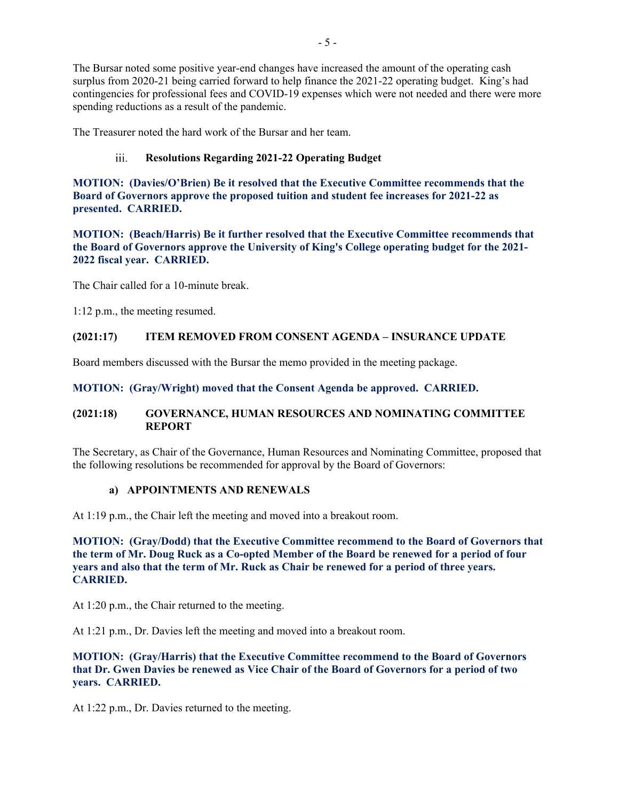The Bursar noted some positive year-end changes have increased the amount of the operating cash surplus from 2020-21 being carried forward to help finance the 2021-22 operating budget. King's had contingencies for professional fees and COVID-19 expenses which were not needed and there were more spending reductions as a result of the pandemic.

The Treasurer noted the hard work of the Bursar and her team.

#### $iii.$ **Resolutions Regarding 2021-22 Operating Budget**

**MOTION: (Davies/O'Brien) Be it resolved that the Executive Committee recommends that the Board of Governors approve the proposed tuition and student fee increases for 2021-22 as presented. CARRIED.**

**MOTION: (Beach/Harris) Be it further resolved that the Executive Committee recommends that the Board of Governors approve the University of King's College operating budget for the 2021- 2022 fiscal year. CARRIED.**

The Chair called for a 10-minute break.

1:12 p.m., the meeting resumed.

## **(2021:17) ITEM REMOVED FROM CONSENT AGENDA – INSURANCE UPDATE**

Board members discussed with the Bursar the memo provided in the meeting package.

## **MOTION: (Gray/Wright) moved that the Consent Agenda be approved. CARRIED.**

## **(2021:18) GOVERNANCE, HUMAN RESOURCES AND NOMINATING COMMITTEE REPORT**

The Secretary, as Chair of the Governance, Human Resources and Nominating Committee, proposed that the following resolutions be recommended for approval by the Board of Governors:

### **a) APPOINTMENTS AND RENEWALS**

At 1:19 p.m., the Chair left the meeting and moved into a breakout room.

**MOTION: (Gray/Dodd) that the Executive Committee recommend to the Board of Governors that the term of Mr. Doug Ruck as a Co-opted Member of the Board be renewed for a period of four years and also that the term of Mr. Ruck as Chair be renewed for a period of three years. CARRIED.**

At 1:20 p.m., the Chair returned to the meeting.

At 1:21 p.m., Dr. Davies left the meeting and moved into a breakout room.

# **MOTION: (Gray/Harris) that the Executive Committee recommend to the Board of Governors that Dr. Gwen Davies be renewed as Vice Chair of the Board of Governors for a period of two years. CARRIED.**

At 1:22 p.m., Dr. Davies returned to the meeting.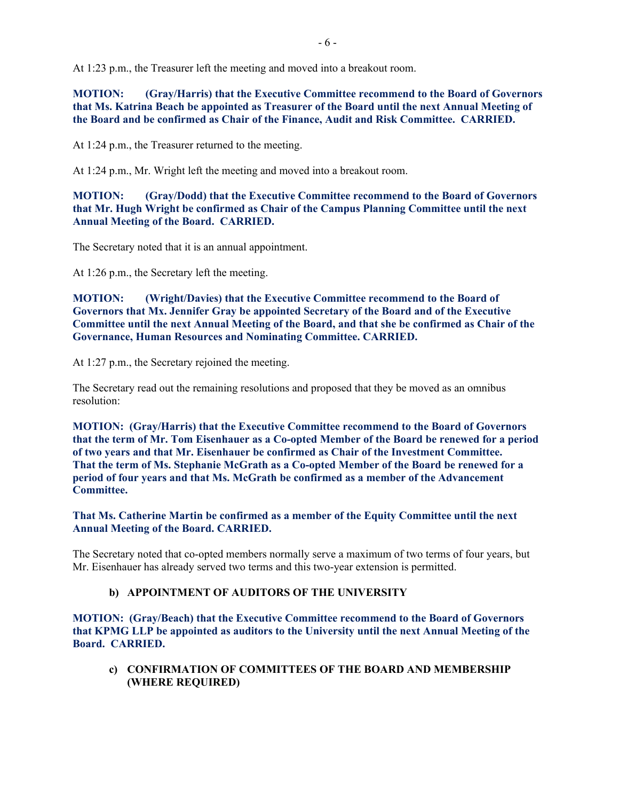At 1:23 p.m., the Treasurer left the meeting and moved into a breakout room.

**MOTION: (Gray/Harris) that the Executive Committee recommend to the Board of Governors that Ms. Katrina Beach be appointed as Treasurer of the Board until the next Annual Meeting of the Board and be confirmed as Chair of the Finance, Audit and Risk Committee. CARRIED.**

At 1:24 p.m., the Treasurer returned to the meeting.

At 1:24 p.m., Mr. Wright left the meeting and moved into a breakout room.

**MOTION: (Gray/Dodd) that the Executive Committee recommend to the Board of Governors that Mr. Hugh Wright be confirmed as Chair of the Campus Planning Committee until the next Annual Meeting of the Board. CARRIED.**

The Secretary noted that it is an annual appointment.

At 1:26 p.m., the Secretary left the meeting.

**MOTION: (Wright/Davies) that the Executive Committee recommend to the Board of Governors that Mx. Jennifer Gray be appointed Secretary of the Board and of the Executive Committee until the next Annual Meeting of the Board, and that she be confirmed as Chair of the Governance, Human Resources and Nominating Committee. CARRIED.**

At 1:27 p.m., the Secretary rejoined the meeting.

The Secretary read out the remaining resolutions and proposed that they be moved as an omnibus resolution:

**MOTION: (Gray/Harris) that the Executive Committee recommend to the Board of Governors that the term of Mr. Tom Eisenhauer as a Co-opted Member of the Board be renewed for a period of two years and that Mr. Eisenhauer be confirmed as Chair of the Investment Committee. That the term of Ms. Stephanie McGrath as a Co-opted Member of the Board be renewed for a period of four years and that Ms. McGrath be confirmed as a member of the Advancement Committee.**

**That Ms. Catherine Martin be confirmed as a member of the Equity Committee until the next Annual Meeting of the Board. CARRIED.**

The Secretary noted that co-opted members normally serve a maximum of two terms of four years, but Mr. Eisenhauer has already served two terms and this two-year extension is permitted.

## **b) APPOINTMENT OF AUDITORS OF THE UNIVERSITY**

**MOTION: (Gray/Beach) that the Executive Committee recommend to the Board of Governors that KPMG LLP be appointed as auditors to the University until the next Annual Meeting of the Board. CARRIED.**

**c) CONFIRMATION OF COMMITTEES OF THE BOARD AND MEMBERSHIP (WHERE REQUIRED)**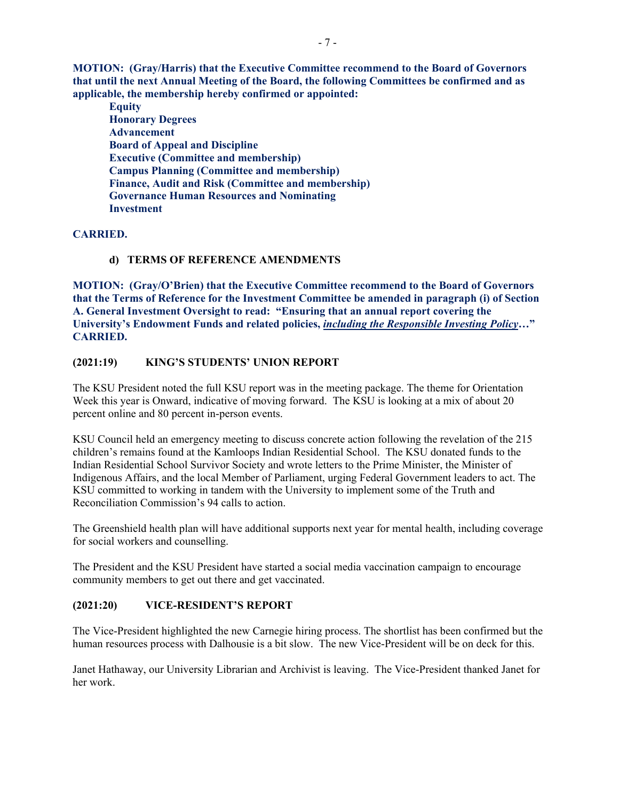**MOTION: (Gray/Harris) that the Executive Committee recommend to the Board of Governors that until the next Annual Meeting of the Board, the following Committees be confirmed and as applicable, the membership hereby confirmed or appointed:**

**Equity Honorary Degrees Advancement Board of Appeal and Discipline Executive (Committee and membership) Campus Planning (Committee and membership) Finance, Audit and Risk (Committee and membership) Governance Human Resources and Nominating Investment**

## **CARRIED.**

## **d) TERMS OF REFERENCE AMENDMENTS**

**MOTION: (Gray/O'Brien) that the Executive Committee recommend to the Board of Governors that the Terms of Reference for the Investment Committee be amended in paragraph (i) of Section A. General Investment Oversight to read: "Ensuring that an annual report covering the University's Endowment Funds and related policies,** *including the Responsible Investing Policy***…" CARRIED.**

## **(2021:19) KING'S STUDENTS' UNION REPORT**

The KSU President noted the full KSU report was in the meeting package. The theme for Orientation Week this year is Onward, indicative of moving forward. The KSU is looking at a mix of about 20 percent online and 80 percent in-person events.

KSU Council held an emergency meeting to discuss concrete action following the revelation of the 215 children's remains found at the Kamloops Indian Residential School. The KSU donated funds to the Indian Residential School Survivor Society and wrote letters to the Prime Minister, the Minister of Indigenous Affairs, and the local Member of Parliament, urging Federal Government leaders to act. The KSU committed to working in tandem with the University to implement some of the Truth and Reconciliation Commission's 94 calls to action.

The Greenshield health plan will have additional supports next year for mental health, including coverage for social workers and counselling.

The President and the KSU President have started a social media vaccination campaign to encourage community members to get out there and get vaccinated.

### **(2021:20) VICE-RESIDENT'S REPORT**

The Vice-President highlighted the new Carnegie hiring process. The shortlist has been confirmed but the human resources process with Dalhousie is a bit slow. The new Vice-President will be on deck for this.

Janet Hathaway, our University Librarian and Archivist is leaving. The Vice-President thanked Janet for her work.